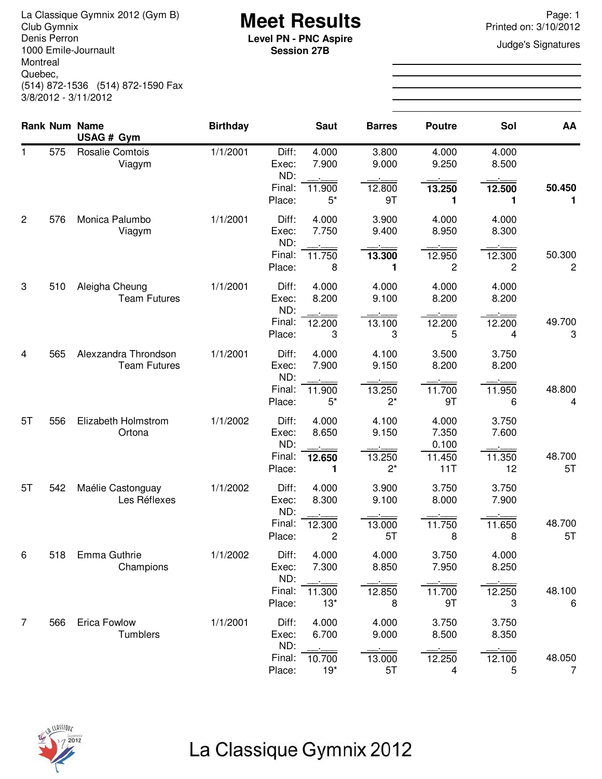La Classique Gymnix 2012 (Gym B)<br>Club Gymnix 2012 (Gym B) **Meet Results**<br>Denis Perron **Page: 1** Printed on: 3/10/2012 Denis Perron 1000 Emile-Journault Montreal Quebec, (514) 872-1536 (514) 872-1590 Fax 3/8/2012 - 3/11/2012

**Session 27B**

Printed on: 3/10/2012

**Judge's Signatures** 

|                |     | <b>Rank Num Name</b><br>USAG # Gym          | <b>Birthday</b> |                         | <b>Saut</b>     | <b>Barres</b>   | <b>Poutre</b>           | Sol            | AA           |
|----------------|-----|---------------------------------------------|-----------------|-------------------------|-----------------|-----------------|-------------------------|----------------|--------------|
| 1              | 575 | <b>Rosalie Comtois</b><br>Viagym            | 1/1/2001        | Diff:<br>Exec:<br>ND:   | 4.000<br>7.900  | 3.800<br>9.000  | 4.000<br>9.250          | 4.000<br>8.500 |              |
|                |     |                                             |                 | Final:<br>Place:        | 11.900<br>$5^*$ | 12.800<br>9T    | 13.250<br>1             | 12.500<br>1    | 50.450<br>1  |
| $\overline{2}$ | 576 | Monica Palumbo<br>Viagym                    | 1/1/2001        | Diff:<br>Exec:<br>ND:   | 4.000<br>7.750  | 3.900<br>9.400  | 4.000<br>8.950          | 4.000<br>8.300 |              |
|                |     |                                             |                 | Final:<br>Place:        | 11.750<br>8     | 13.300<br>1     | 12.950<br>2             | 12.300<br>2    | 50.300<br>2  |
| 3              | 510 | Aleigha Cheung<br><b>Team Futures</b>       | 1/1/2001        | Diff:<br>Exec:<br>ND:   | 4.000<br>8.200  | 4.000<br>9.100  | 4.000<br>8.200          | 4.000<br>8.200 |              |
|                |     |                                             |                 | Final:<br>Place:        | 12.200<br>3     | 13.100<br>3     | 12.200<br>5             | 12.200<br>4    | 49.700<br>3  |
| 4              | 565 | Alexzandra Throndson<br><b>Team Futures</b> | 1/1/2001        | Diff:<br>Exec:<br>ND:   | 4.000<br>7.900  | 4.100<br>9.150  | 3.500<br>8.200          | 3.750<br>8.200 |              |
|                |     |                                             |                 | Final:<br>Place:        | 11.900<br>$5^*$ | 13.250<br>$2^*$ | 11.700<br>9T            | 11.950<br>6    | 48.800<br>4  |
| 5T             | 556 | Elizabeth Holmstrom<br>Ortona               | 1/1/2002        | Diff:<br>Exec:<br>ND:   | 4.000<br>8.650  | 4.100<br>9.150  | 4.000<br>7.350<br>0.100 | 3.750<br>7.600 |              |
|                |     |                                             |                 | Final:<br>Place:        | 12.650<br>1     | 13.250<br>$2^*$ | 11.450<br>11T           | 11.350<br>12   | 48.700<br>5T |
| 5T             | 542 | Maélie Castonguay<br>Les Réflexes           | 1/1/2002        | Diff:<br>Exec:<br>ND:   | 4.000<br>8.300  | 3.900<br>9.100  | 3.750<br>8.000          | 3.750<br>7.900 |              |
|                |     |                                             |                 | Final:<br>Place:        | 12.300<br>2     | 13.000<br>5T    | 11.750<br>8             | 11.650<br>8    | 48.700<br>5T |
| 6              | 518 | Emma Guthrie<br>Champions                   | 1/1/2002        | Diff:<br>Exec:          | 4.000<br>7.300  | 4.000<br>8.850  | 3.750<br>7.950          | 4.000<br>8.250 |              |
|                |     |                                             |                 | ND:<br>Final:<br>Place: | 11.300<br>$13*$ | 12.850<br>8     | 11.700<br>9T            | 12.250<br>3    | 48.100<br>6  |
| $\overline{7}$ | 566 | Erica Fowlow<br>Tumblers                    | 1/1/2001        | Diff:<br>Exec:          | 4.000<br>6.700  | 4.000<br>9.000  | 3.750<br>8.500          | 3.750<br>8.350 |              |
|                |     |                                             |                 | ND:<br>Final:<br>Place: | 10.700<br>$19*$ | 13.000<br>5T    | 12.250<br>4             | 12.100<br>5    | 48.050<br>7  |

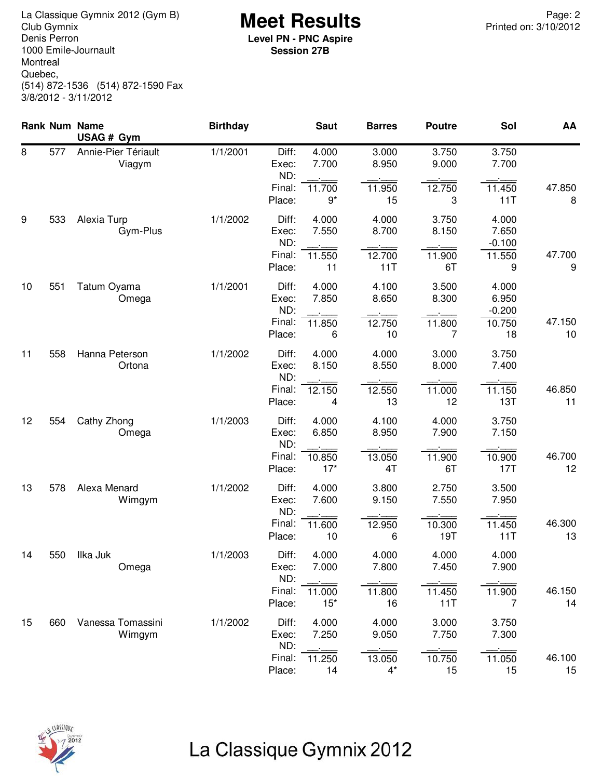**Meet Results** La Classique Gymnix 2012 (Gym B) Page: 2 Denis Perron 1000 Emile-Journault Montreal Quebec, (514) 872-1536 (514) 872-1590 Fax 3/8/2012 - 3/11/2012

**Level PN - PNC Aspire Session 27B**

|    |     | Rank Num Name<br>USAG # Gym   | <b>Birthday</b> |                                           | <b>Saut</b>                       | <b>Barres</b>                     | <b>Poutre</b>                   | Sol                                        | AA           |
|----|-----|-------------------------------|-----------------|-------------------------------------------|-----------------------------------|-----------------------------------|---------------------------------|--------------------------------------------|--------------|
| 8  | 577 | Annie-Pier Tériault<br>Viagym | 1/1/2001        | Diff:<br>Exec:<br>ND:<br>Final:<br>Place: | 4.000<br>7.700<br>11.700<br>$9^*$ | 3.000<br>8.950<br>11.950<br>15    | 3.750<br>9.000<br>12.750<br>3   | 3.750<br>7.700<br>11.450<br>11T            | 47.850<br>8  |
| 9  | 533 | Alexia Turp<br>Gym-Plus       | 1/1/2002        | Diff:<br>Exec:<br>ND:<br>Final:<br>Place: | 4.000<br>7.550<br>11.550<br>11    | 4.000<br>8.700<br>12.700<br>11T   | 3.750<br>8.150<br>11.900<br>6T  | 4.000<br>7.650<br>$-0.100$<br>11.550<br>9  | 47.700<br>9  |
| 10 | 551 | Tatum Oyama<br>Omega          | 1/1/2001        | Diff:<br>Exec:<br>ND:<br>Final:<br>Place: | 4.000<br>7.850<br>11.850<br>6     | 4.100<br>8.650<br>12.750<br>10    | 3.500<br>8.300<br>11.800<br>7   | 4.000<br>6.950<br>$-0.200$<br>10.750<br>18 | 47.150<br>10 |
| 11 | 558 | Hanna Peterson<br>Ortona      | 1/1/2002        | Diff:<br>Exec:<br>ND:<br>Final:<br>Place: | 4.000<br>8.150<br>12.150<br>4     | 4.000<br>8.550<br>12.550<br>13    | 3.000<br>8.000<br>11.000<br>12  | 3.750<br>7.400<br>11.150<br>13T            | 46.850<br>11 |
| 12 | 554 | Cathy Zhong<br>Omega          | 1/1/2003        | Diff:<br>Exec:<br>ND:<br>Final:<br>Place: | 4.000<br>6.850<br>10.850<br>$17*$ | 4.100<br>8.950<br>13.050<br>4T    | 4.000<br>7.900<br>11.900<br>6T  | 3.750<br>7.150<br>10.900<br>17T            | 46.700<br>12 |
| 13 | 578 | Alexa Menard<br>Wimgym        | 1/1/2002        | Diff:<br>Exec:<br>ND:<br>Final:<br>Place: | 4.000<br>7.600<br>11.600<br>10    | 3.800<br>9.150<br>12.950<br>6     | 2.750<br>7.550<br>10.300<br>19T | 3.500<br>7.950<br>11.450<br>11T            | 46.300<br>13 |
| 14 | 550 | Ilka Juk<br>Omega             | 1/1/2003        | Diff:<br>Exec:<br>ND:<br>Final:<br>Place: | 4.000<br>7.000<br>11.000<br>$15*$ | 4.000<br>7.800<br>11.800<br>16    | 4.000<br>7.450<br>11.450<br>11T | 4.000<br>7.900<br>11.900<br>7              | 46.150<br>14 |
| 15 | 660 | Vanessa Tomassini<br>Wimgym   | 1/1/2002        | Diff:<br>Exec:<br>ND:<br>Final:<br>Place: | 4.000<br>7.250<br>11.250<br>14    | 4.000<br>9.050<br>13.050<br>$4^*$ | 3.000<br>7.750<br>10.750<br>15  | 3.750<br>7.300<br>11.050<br>15             | 46.100<br>15 |

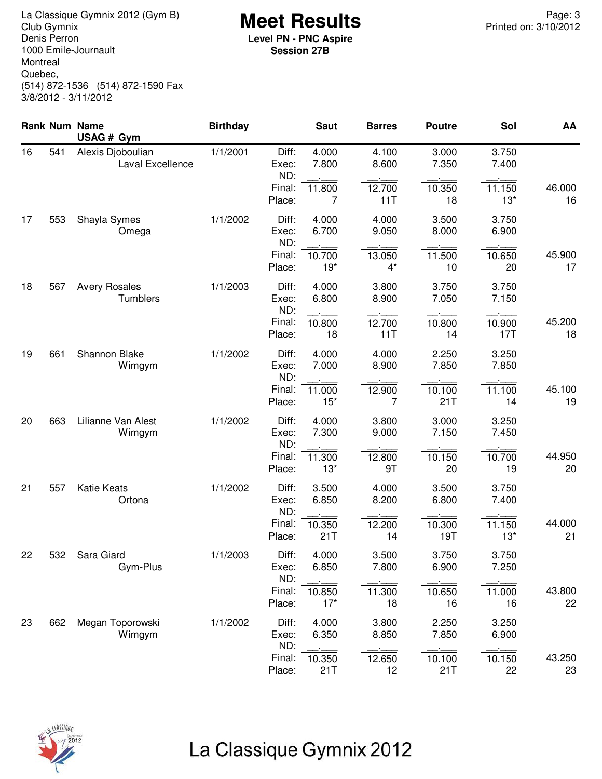**Meet Results** La Classique Gymnix 2012 (Gym B) Page: 3 Denis Perron 1000 Emile-Journault Montreal Quebec, (514) 872-1536 (514) 872-1590 Fax 3/8/2012 - 3/11/2012

**Level PN - PNC Aspire Session 27B**

|    |     | Rank Num Name<br>USAG # Gym           | <b>Birthday</b> |                       | <b>Saut</b>     | <b>Barres</b>   | <b>Poutre</b>  | Sol             | AA           |
|----|-----|---------------------------------------|-----------------|-----------------------|-----------------|-----------------|----------------|-----------------|--------------|
| 16 | 541 | Alexis Djoboulian<br>Laval Excellence | 1/1/2001        | Diff:<br>Exec:<br>ND: | 4.000<br>7.800  | 4.100<br>8.600  | 3.000<br>7.350 | 3.750<br>7.400  |              |
|    |     |                                       |                 | Final:<br>Place:      | 11.800<br>7     | 12.700<br>11T   | 10.350<br>18   | 11.150<br>$13*$ | 46.000<br>16 |
| 17 | 553 | Shayla Symes<br>Omega                 | 1/1/2002        | Diff:<br>Exec:<br>ND: | 4.000<br>6.700  | 4.000<br>9.050  | 3.500<br>8.000 | 3.750<br>6.900  |              |
|    |     |                                       |                 | Final:<br>Place:      | 10.700<br>$19*$ | 13.050<br>$4^*$ | 11.500<br>10   | 10.650<br>20    | 45.900<br>17 |
| 18 | 567 | <b>Avery Rosales</b><br>Tumblers      | 1/1/2003        | Diff:<br>Exec:<br>ND: | 4.000<br>6.800  | 3.800<br>8.900  | 3.750<br>7.050 | 3.750<br>7.150  |              |
|    |     |                                       |                 | Final:<br>Place:      | 10.800<br>18    | 12.700<br>11T   | 10.800<br>14   | 10.900<br>17T   | 45.200<br>18 |
| 19 | 661 | Shannon Blake<br>Wimgym               | 1/1/2002        | Diff:<br>Exec:<br>ND: | 4.000<br>7.000  | 4.000<br>8.900  | 2.250<br>7.850 | 3.250<br>7.850  |              |
|    |     |                                       |                 | Final:<br>Place:      | 11.000<br>$15*$ | 12.900<br>7     | 10.100<br>21T  | 11.100<br>14    | 45.100<br>19 |
| 20 | 663 | Lilianne Van Alest<br>Wimgym          | 1/1/2002        | Diff:<br>Exec:<br>ND: | 4.000<br>7.300  | 3.800<br>9.000  | 3.000<br>7.150 | 3.250<br>7.450  |              |
|    |     |                                       |                 | Final:<br>Place:      | 11.300<br>$13*$ | 12.800<br>9T    | 10.150<br>20   | 10.700<br>19    | 44.950<br>20 |
| 21 | 557 | <b>Katie Keats</b><br>Ortona          | 1/1/2002        | Diff:<br>Exec:<br>ND: | 3.500<br>6.850  | 4.000<br>8.200  | 3.500<br>6.800 | 3.750<br>7.400  |              |
|    |     |                                       |                 | Final:<br>Place:      | 10.350<br>21T   | 12.200<br>14    | 10.300<br>19T  | 11.150<br>$13*$ | 44.000<br>21 |
| 22 | 532 | Sara Giard<br>Gym-Plus                | 1/1/2003        | Diff:<br>Exec:<br>ND: | 4.000<br>6.850  | 3.500<br>7.800  | 3.750<br>6.900 | 3.750<br>7.250  |              |
|    |     |                                       |                 | Final:<br>Place:      | 10.850<br>$17*$ | 11.300<br>18    | 10.650<br>16   | 11.000<br>16    | 43.800<br>22 |
| 23 | 662 | Megan Toporowski<br>Wimgym            | 1/1/2002        | Diff:<br>Exec:<br>ND: | 4.000<br>6.350  | 3.800<br>8.850  | 2.250<br>7.850 | 3.250<br>6.900  |              |
|    |     |                                       |                 | Final:<br>Place:      | 10.350<br>21T   | 12.650<br>12    | 10.100<br>21T  | 10.150<br>22    | 43.250<br>23 |